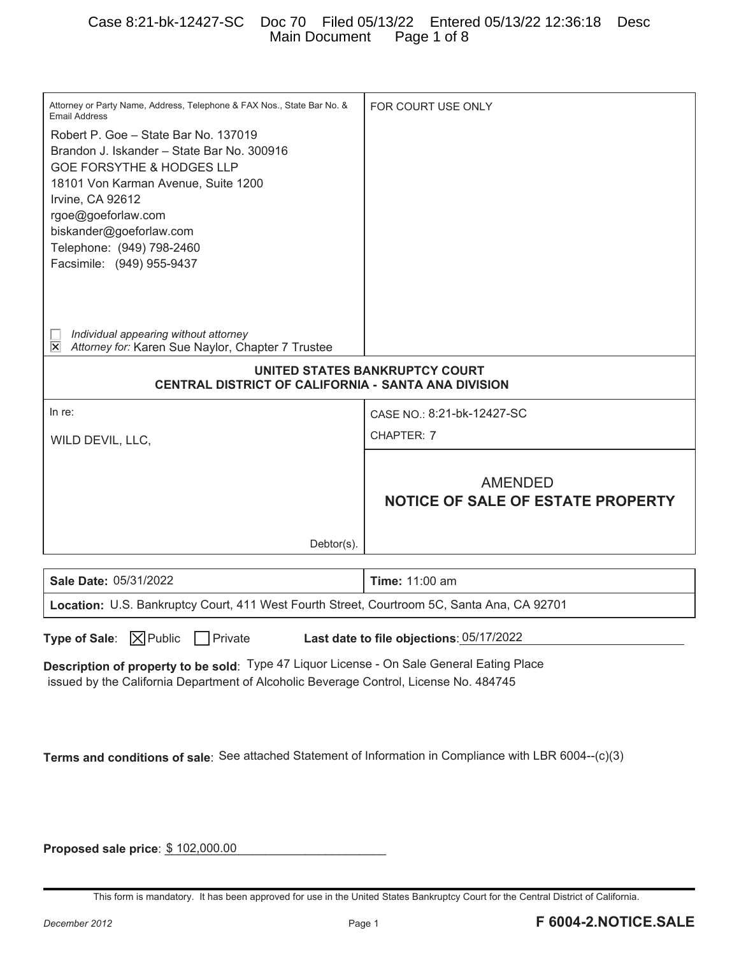| Attorney or Party Name, Address, Telephone & FAX Nos., State Bar No. &<br><b>Email Address</b><br>Robert P. Goe - State Bar No. 137019<br>Brandon J. Iskander - State Bar No. 300916<br><b>GOE FORSYTHE &amp; HODGES LLP</b><br>18101 Von Karman Avenue, Suite 1200<br>Irvine, CA 92612<br>rgoe@goeforlaw.com<br>biskander@goeforlaw.com<br>Telephone: (949) 798-2460<br>Facsimile: (949) 955-9437 | FOR COURT USE ONLY                                         |  |  |
|----------------------------------------------------------------------------------------------------------------------------------------------------------------------------------------------------------------------------------------------------------------------------------------------------------------------------------------------------------------------------------------------------|------------------------------------------------------------|--|--|
| Individual appearing without attorney<br>$ \mathsf{x} $<br>Attorney for: Karen Sue Naylor, Chapter 7 Trustee                                                                                                                                                                                                                                                                                       |                                                            |  |  |
| UNITED STATES BANKRUPTCY COURT<br>CENTRAL DISTRICT OF CALIFORNIA - SANTA ANA DIVISION                                                                                                                                                                                                                                                                                                              |                                                            |  |  |
| In re:                                                                                                                                                                                                                                                                                                                                                                                             | CASE NO.: 8:21-bk-12427-SC                                 |  |  |
| WILD DEVIL, LLC,                                                                                                                                                                                                                                                                                                                                                                                   | CHAPTER: 7                                                 |  |  |
|                                                                                                                                                                                                                                                                                                                                                                                                    |                                                            |  |  |
|                                                                                                                                                                                                                                                                                                                                                                                                    | <b>AMENDED</b><br><b>NOTICE OF SALE OF ESTATE PROPERTY</b> |  |  |
| Debtor(s).                                                                                                                                                                                                                                                                                                                                                                                         |                                                            |  |  |
| <b>Sale Date: 05/31/2022</b>                                                                                                                                                                                                                                                                                                                                                                       | <b>Time: 11:00 am</b>                                      |  |  |
| Location: U.S. Bankruptcy Court, 411 West Fourth Street, Courtroom 5C, Santa Ana, CA 92701                                                                                                                                                                                                                                                                                                         |                                                            |  |  |

**Proposed sale price**:  $$102,000.00$ 

This form is mandatory. It has been approved for use in the United States Bankruptcy Court for the Central District of California.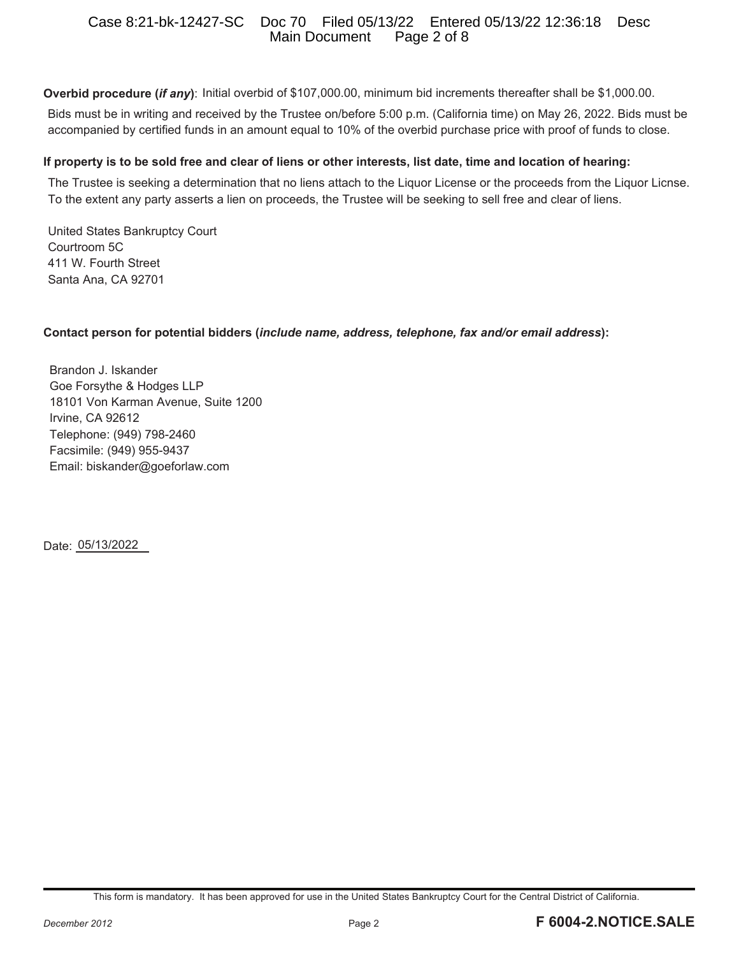# Case 8:21-bk-12427-SC Doc 70 Filed 05/13/22 Entered 05/13/22 12:36:18 Desc Main Document

**Overbid procedure (***if any***)**: Initial overbid of \$107,000.00, minimum bid increments thereafter shall be \$1,000.00.

Bids must be in writing and received by the Trustee on/before 5:00 p.m. (California time) on May 26, 2022. Bids must be accompanied by certified funds in an amount equal to 10% of the overbid purchase price with proof of funds to close.

#### **If property is to be sold free and clear of liens or other interests, list date, time and location of hearing:**

The Trustee is seeking a determination that no liens attach to the Liquor License or the proceeds from the Liquor Licnse. To the extent any party asserts a lien on proceeds, the Trustee will be seeking to sell free and clear of liens.

United States Bankruptcy Court Courtroom 5C 411 W. Fourth Street Santa Ana, CA 92701

#### **Contact person for potential bidders (***include name, address, telephone, fax and/or email address***):**

Brandon J. Iskander Goe Forsythe & Hodges LLP 18101 Von Karman Avenue, Suite 1200 Irvine, CA 92612 Telephone: (949) 798-2460 Facsimile: (949) 955-9437 Email: biskander@goeforlaw.com

Date: 05/13/2022

This form is mandatory. It has been approved for use in the United States Bankruptcy Court for the Central District of California.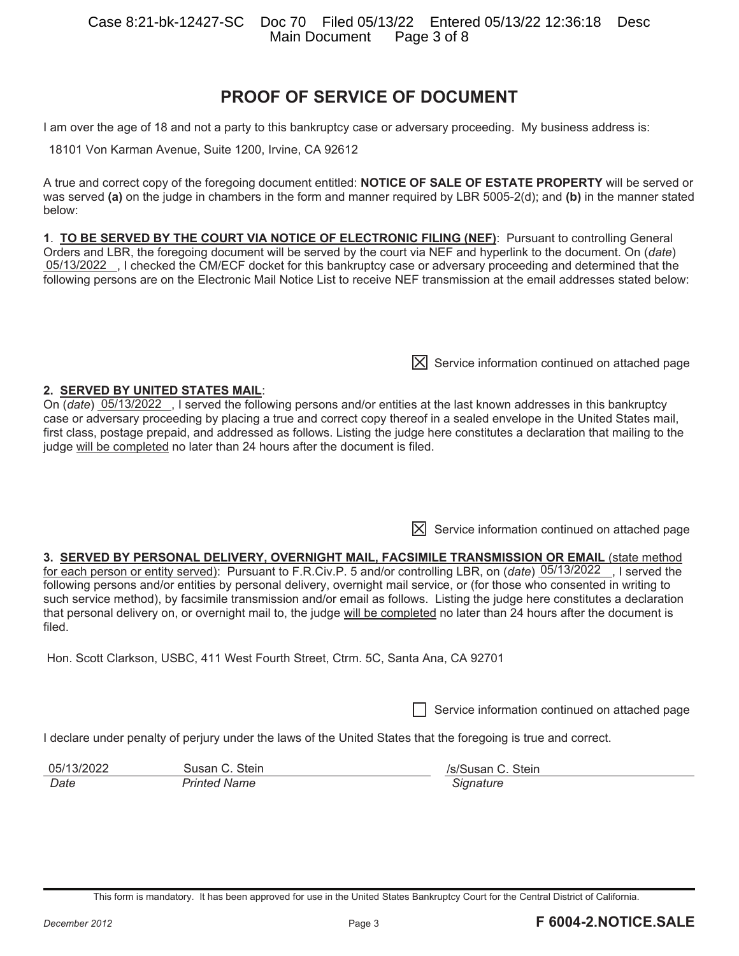Case 8:21-bk-12427-SC Doc 70 Filed 05/13/22 Entered 05/13/22 12:36:18 Desc Main Document

# **PROOF OF SERVICE OF DOCUMENT**

I am over the age of 18 and not a party to this bankruptcy case or adversary proceeding. My business address is:

18101 Von Karman Avenue, Suite 1200, Irvine, CA 92612

A true and correct copy of the foregoing document entitled: **NOTICE OF SALE OF ESTATE PROPERTY** will be served or was served **(a)** on the judge in chambers in the form and manner required by LBR 5005-2(d); and **(b)** in the manner stated below:

**1**. **TO BE SERVED BY THE COURT VIA NOTICE OF ELECTRONIC FILING (NEF)**: Pursuant to controlling General Orders and LBR, the foregoing document will be served by the court via NEF and hyperlink to the document. On (*date*) 05/13/2022 , I checked the CM/ECF docket for this bankruptcy case or adversary proceeding and determined that the following persons are on the Electronic Mail Notice List to receive NEF transmission at the email addresses stated below:

**2. SERVED BY UNITED STATES MAIL**: On (*date*) 05/13/2022, I served the following persons and/or entities at the last known addresses in this bankruptcy case or adversary proceeding by placing a true and correct copy thereof in a sealed envelope in the United States mail, first class, postage prepaid, and addressed as follows. Listing the judge here constitutes a declaration that mailing to the judge will be completed no later than 24 hours after the document is filed.

 $[X]$  Service information continued on attached page

 $[\overline{X}]$  Service information continued on attached page

#### **3. SERVED BY PERSONAL DELIVERY, OVERNIGHT MAIL, FACSIMILE TRANSMISSION OR EMAIL** (state method

for each person or entity served): Pursuant to F.R.Civ.P. 5 and/or controlling LBR, on (date) 05/13/2022 , I served the following persons and/or entities by personal delivery, overnight mail service, or (for those who consented in writing to such service method), by facsimile transmission and/or email as follows. Listing the judge here constitutes a declaration that personal delivery on, or overnight mail to, the judge will be completed no later than 24 hours after the document is filed.

Hon. Scott Clarkson, USBC, 411 West Fourth Street, Ctrm. 5C, Santa Ana, CA 92701

Service information continued on attached page

I declare under penalty of perjury under the laws of the United States that the foregoing is true and correct.

| 05/13/2022 | Susan C. Stein      | /s/Susan C. Stein |
|------------|---------------------|-------------------|
| Date       | <b>Printed Name</b> | Signature         |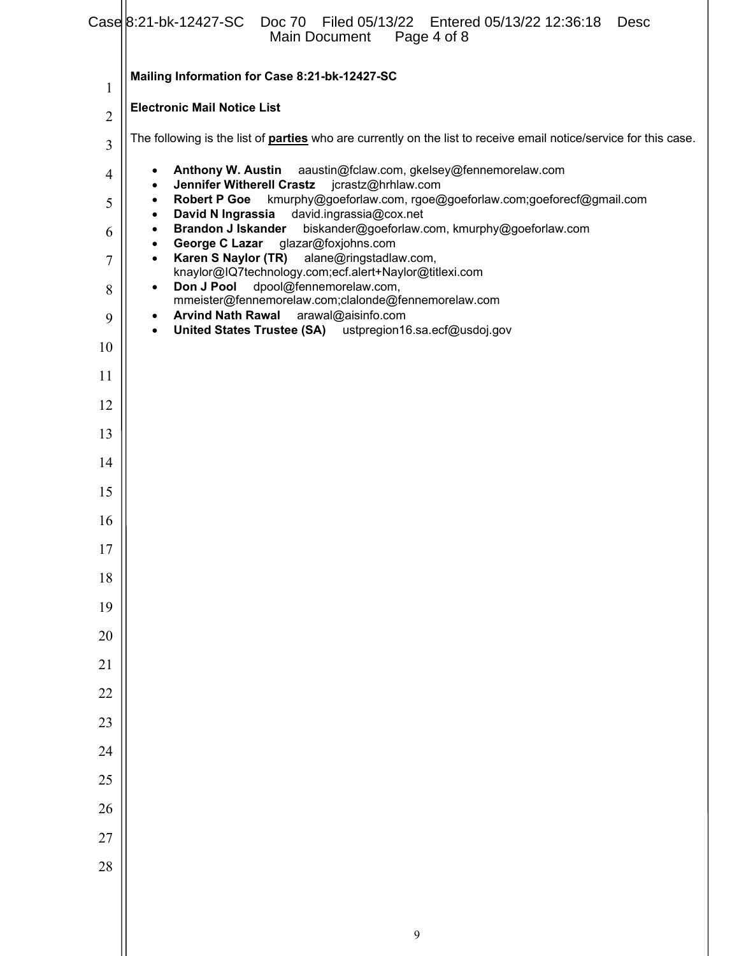|                | Mailing Information for Case 8:21-bk-12427-SC                                                                                                                 |  |  |
|----------------|---------------------------------------------------------------------------------------------------------------------------------------------------------------|--|--|
| 1              | <b>Electronic Mail Notice List</b>                                                                                                                            |  |  |
| $\overline{2}$ | The following is the list of <b>parties</b> who are currently on the list to receive email notice/service for this case.                                      |  |  |
| 3              | Anthony W. Austin aaustin@fclaw.com, gkelsey@fennemorelaw.com<br>٠                                                                                            |  |  |
| 4              | <b>Jennifer Witherell Crastz</b><br>jcrastz@hrhlaw.com<br>٠<br>kmurphy@goeforlaw.com, rgoe@goeforlaw.com;goeforecf@gmail.com<br><b>Robert P Goe</b>           |  |  |
| 5              | $\bullet$<br>David N Ingrassia<br>david.ingrassia@cox.net<br>$\bullet$<br>biskander@goeforlaw.com, kmurphy@goeforlaw.com<br><b>Brandon J Iskander</b>         |  |  |
| 6              | $\bullet$<br>George C Lazar<br>glazar@foxjohns.com<br>$\bullet$                                                                                               |  |  |
| 7              | Karen S Naylor (TR)<br>alane@ringstadlaw.com,<br>$\bullet$<br>knaylor@IQ7technology.com;ecf.alert+Naylor@titlexi.com<br>dpool@fennemorelaw.com,<br>Don J Pool |  |  |
| 8              | $\bullet$<br>mmeister@fennemorelaw.com;clalonde@fennemorelaw.com<br><b>Arvind Nath Rawal</b><br>arawal@aisinfo.com<br>$\bullet$                               |  |  |
| 9              | United States Trustee (SA) ustpregion16.sa.ecf@usdoj.gov<br>$\bullet$                                                                                         |  |  |
| 10             |                                                                                                                                                               |  |  |
| 11             |                                                                                                                                                               |  |  |
| 12             |                                                                                                                                                               |  |  |
| 13             |                                                                                                                                                               |  |  |
| 14             |                                                                                                                                                               |  |  |
| 15             |                                                                                                                                                               |  |  |
| 16             |                                                                                                                                                               |  |  |
| 17<br>18       |                                                                                                                                                               |  |  |
| 19             |                                                                                                                                                               |  |  |
| 20             |                                                                                                                                                               |  |  |
| $21\,$         |                                                                                                                                                               |  |  |
| 22             |                                                                                                                                                               |  |  |
| 23             |                                                                                                                                                               |  |  |
| 24             |                                                                                                                                                               |  |  |
| 25             |                                                                                                                                                               |  |  |
| 26             |                                                                                                                                                               |  |  |
| 27             |                                                                                                                                                               |  |  |
| 28             |                                                                                                                                                               |  |  |
|                |                                                                                                                                                               |  |  |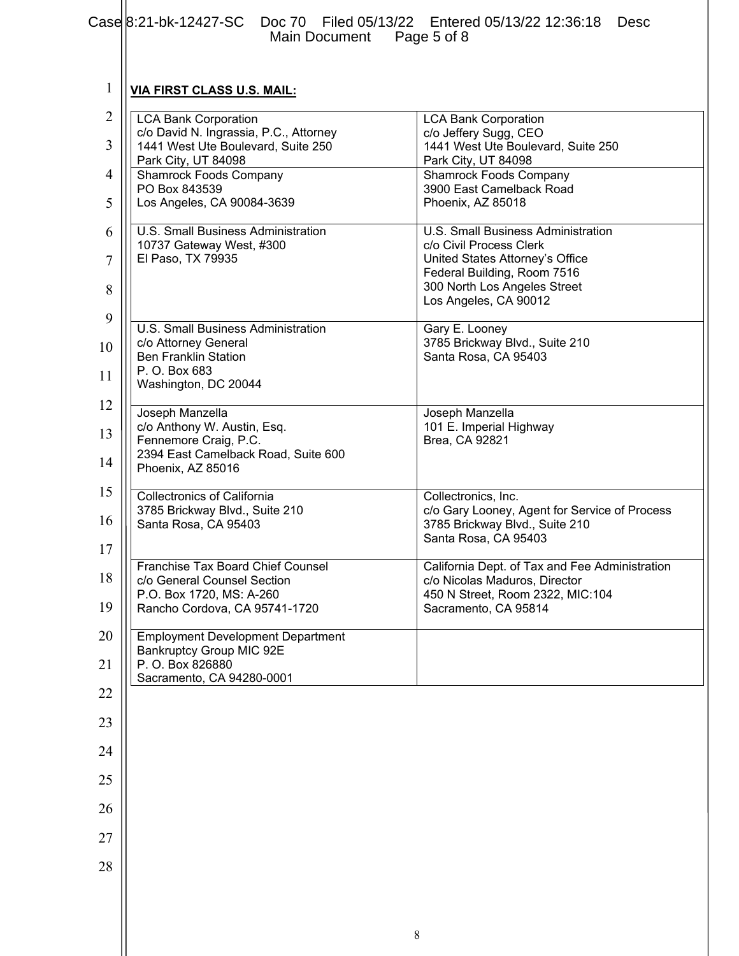|                | $Case 8:21-bk-12427-SC$<br>Doc 70 Filed 05/13/22 Entered 05/13/22 12:36:18<br><b>Desc</b><br>Main Document Page 5 of 8 |                                                                      |  |
|----------------|------------------------------------------------------------------------------------------------------------------------|----------------------------------------------------------------------|--|
|                |                                                                                                                        |                                                                      |  |
| 1              | <b>VIA FIRST CLASS U.S. MAIL:</b>                                                                                      |                                                                      |  |
| $\overline{2}$ | <b>LCA Bank Corporation</b><br>c/o David N. Ingrassia, P.C., Attorney                                                  | <b>LCA Bank Corporation</b><br>c/o Jeffery Sugg, CEO                 |  |
| 3              | 1441 West Ute Boulevard, Suite 250<br>Park City, UT 84098                                                              | 1441 West Ute Boulevard, Suite 250<br>Park City, UT 84098            |  |
| 4              | <b>Shamrock Foods Company</b><br>PO Box 843539                                                                         | <b>Shamrock Foods Company</b><br>3900 East Camelback Road            |  |
| 5              | Los Angeles, CA 90084-3639                                                                                             | Phoenix, AZ 85018                                                    |  |
| 6              | U.S. Small Business Administration<br>10737 Gateway West, #300                                                         | U.S. Small Business Administration<br>c/o Civil Process Clerk        |  |
| 7              | El Paso, TX 79935                                                                                                      | United States Attorney's Office<br>Federal Building, Room 7516       |  |
| 8              |                                                                                                                        | 300 North Los Angeles Street<br>Los Angeles, CA 90012                |  |
| 9              | <b>U.S. Small Business Administration</b>                                                                              | Gary E. Looney                                                       |  |
| 10             | c/o Attorney General<br><b>Ben Franklin Station</b>                                                                    | 3785 Brickway Blvd., Suite 210<br>Santa Rosa, CA 95403               |  |
| 11             | P. O. Box 683<br>Washington, DC 20044                                                                                  |                                                                      |  |
| 12             | Joseph Manzella                                                                                                        | Joseph Manzella                                                      |  |
| 13             | c/o Anthony W. Austin, Esq.<br>Fennemore Craig, P.C.<br>2394 East Camelback Road, Suite 600                            | 101 E. Imperial Highway<br>Brea, CA 92821                            |  |
| 14             | Phoenix, AZ 85016                                                                                                      |                                                                      |  |
| 15             | <b>Collectronics of California</b><br>3785 Brickway Blvd., Suite 210                                                   | Collectronics, Inc.<br>c/o Gary Looney, Agent for Service of Process |  |
| 16             | Santa Rosa, CA 95403                                                                                                   | 3785 Brickway Blvd., Suite 210<br>Santa Rosa, CA 95403               |  |
| 17             | Franchise Tax Board Chief Counsel                                                                                      | California Dept. of Tax and Fee Administration                       |  |
| 18             | c/o General Counsel Section<br>P.O. Box 1720, MS: A-260                                                                | c/o Nicolas Maduros, Director<br>450 N Street, Room 2322, MIC:104    |  |
| 19             | Rancho Cordova, CA 95741-1720                                                                                          | Sacramento, CA 95814                                                 |  |
| 20             | <b>Employment Development Department</b><br><b>Bankruptcy Group MIC 92E</b>                                            |                                                                      |  |
| 21             | P. O. Box 826880<br>Sacramento, CA 94280-0001                                                                          |                                                                      |  |
| 22             |                                                                                                                        |                                                                      |  |
| 23             |                                                                                                                        |                                                                      |  |
| 24             |                                                                                                                        |                                                                      |  |
| 25             |                                                                                                                        |                                                                      |  |
| 26             |                                                                                                                        |                                                                      |  |
| 27             |                                                                                                                        |                                                                      |  |
| 28             |                                                                                                                        |                                                                      |  |
|                |                                                                                                                        |                                                                      |  |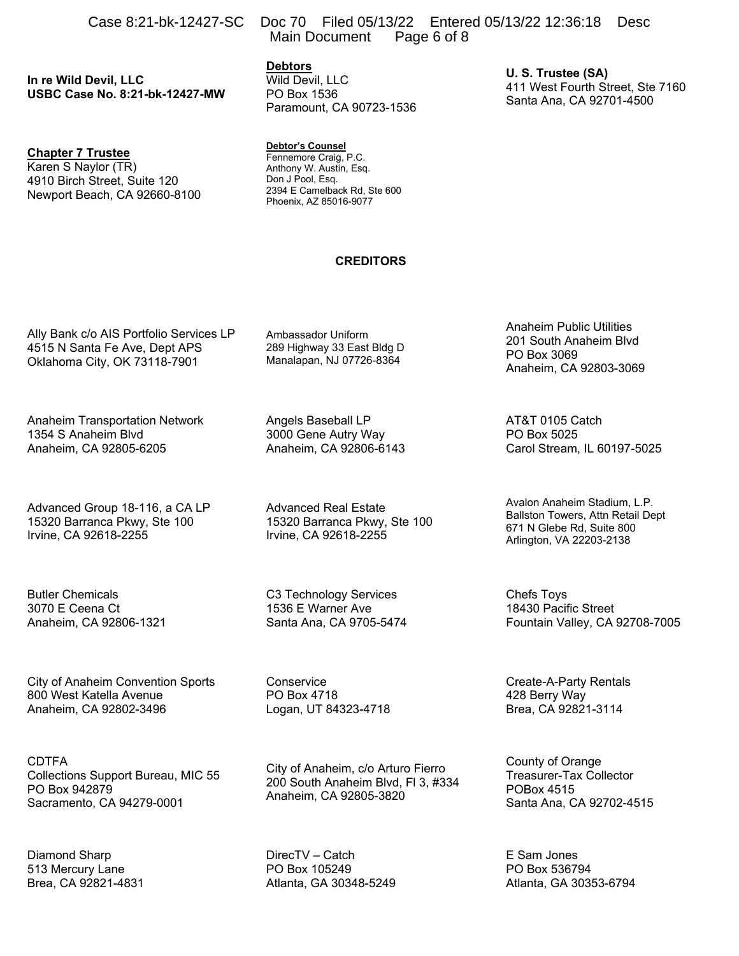**In re Wild Devil, LLC USBC Case No. 8:21-bk-12427-MW** 

# **Chapter 7 Trustee**

Karen S Naylor (TR) 4910 Birch Street, Suite 120 Newport Beach, CA 92660-8100

Case 8:21-bk-12427-SC Doc 70 Filed 05/13/22 Entered 05/13/22 12:36:18 Desc Main Document Page 6 of 8

> **Debtors**  Wild Devil, LLC PO Box 1536 Paramount, CA 90723-1536

**U. S. Trustee (SA)**  411 West Fourth Street, Ste 7160 Santa Ana, CA 92701-4500

#### **Debtor's Counsel**

Fennemore Craig, P.C. Anthony W. Austin, Esq. Don J Pool, Esq. 2394 E Camelback Rd, Ste 600 Phoenix, AZ 85016-9077

#### **CREDITORS**

Ally Bank c/o AIS Portfolio Services LP 4515 N Santa Fe Ave, Dept APS Oklahoma City, OK 73118-7901

Anaheim Transportation Network 1354 S Anaheim Blvd Anaheim, CA 92805-6205

Advanced Group 18-116, a CA LP 15320 Barranca Pkwy, Ste 100 Irvine, CA 92618-2255

Butler Chemicals 3070 E Ceena Ct Anaheim, CA 92806-1321

City of Anaheim Convention Sports 800 West Katella Avenue Anaheim, CA 92802-3496

CDTFA Collections Support Bureau, MIC 55 PO Box 942879 Sacramento, CA 94279-0001

Diamond Sharp 513 Mercury Lane Brea, CA 92821-4831 Ambassador Uniform 289 Highway 33 East Bldg D Manalapan, NJ 07726-8364

Angels Baseball LP 3000 Gene Autry Way Anaheim, CA 92806-6143

Advanced Real Estate 15320 Barranca Pkwy, Ste 100 Irvine, CA 92618-2255

C3 Technology Services 1536 E Warner Ave Santa Ana, CA 9705-5474

Conservice PO Box 4718 Logan, UT 84323-4718

City of Anaheim, c/o Arturo Fierro 200 South Anaheim Blvd, Fl 3, #334 Anaheim, CA 92805-3820

DirecTV – Catch PO Box 105249 Atlanta, GA 30348-5249 Anaheim Public Utilities 201 South Anaheim Blvd PO Box 3069 Anaheim, CA 92803-3069

AT&T 0105 Catch PO Box 5025 Carol Stream, IL 60197-5025

Avalon Anaheim Stadium, L.P. Ballston Towers, Attn Retail Dept 671 N Glebe Rd, Suite 800 Arlington, VA 22203-2138

Chefs Toys 18430 Pacific Street Fountain Valley, CA 92708-7005

Create-A-Party Rentals 428 Berry Way Brea, CA 92821-3114

County of Orange Treasurer-Tax Collector POBox 4515 Santa Ana, CA 92702-4515

E Sam Jones PO Box 536794 Atlanta, GA 30353-6794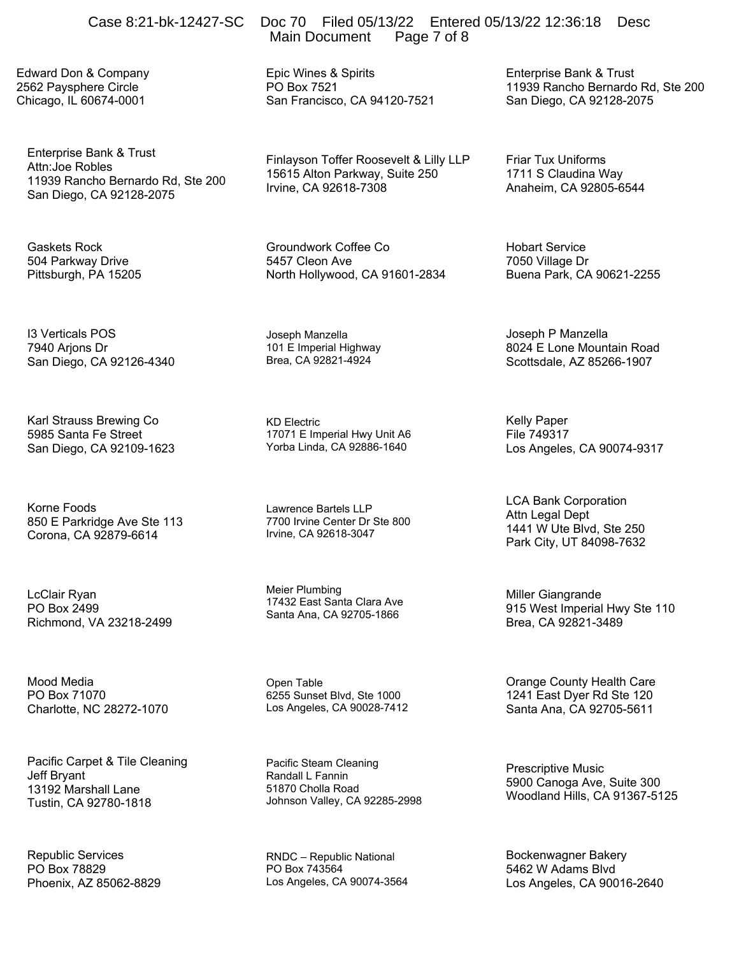Edward Don & Company 2562 Paysphere Circle Chicago, IL 60674-0001

Enterprise Bank & Trust Attn:Joe Robles 11939 Rancho Bernardo Rd, Ste 200 San Diego, CA 92128-2075

Gaskets Rock 504 Parkway Drive Pittsburgh, PA 15205

I3 Verticals POS 7940 Arjons Dr San Diego, CA 92126-4340

Karl Strauss Brewing Co 5985 Santa Fe Street San Diego, CA 92109-1623

Korne Foods 850 E Parkridge Ave Ste 113 Corona, CA 92879-6614

LcClair Ryan PO Box 2499 Richmond, VA 23218-2499

Mood Media PO Box 71070 Charlotte, NC 28272-1070

Pacific Carpet & Tile Cleaning Jeff Bryant 13192 Marshall Lane Tustin, CA 92780-1818

Republic Services PO Box 78829 Phoenix, AZ 85062-8829

# Case 8:21-bk-12427-SC Doc 70 Filed 05/13/22 Entered 05/13/22 12:36:18 Desc Main Document Page 7 of 8

Epic Wines & Spirits PO Box 7521 San Francisco, CA 94120-7521

Finlayson Toffer Roosevelt & Lilly LLP 15615 Alton Parkway, Suite 250 Irvine, CA 92618-7308

Groundwork Coffee Co 5457 Cleon Ave North Hollywood, CA 91601-2834

Joseph Manzella 101 E Imperial Highway Brea, CA 92821-4924

KD Electric 17071 E Imperial Hwy Unit A6 Yorba Linda, CA 92886-1640

Lawrence Bartels I I P 7700 Irvine Center Dr Ste 800 Irvine, CA 92618-3047

Meier Plumbing 17432 East Santa Clara Ave Santa Ana, CA 92705-1866

Open Table 6255 Sunset Blvd, Ste 1000 Los Angeles, CA 90028-7412

Pacific Steam Cleaning Randall L Fannin 51870 Cholla Road Johnson Valley, CA 92285-2998

RNDC – Republic National PO Box 743564 Los Angeles, CA 90074-3564 Enterprise Bank & Trust 11939 Rancho Bernardo Rd, Ste 200 San Diego, CA 92128-2075

Friar Tux Uniforms 1711 S Claudina Way Anaheim, CA 92805-6544

Hobart Service 7050 Village Dr Buena Park, CA 90621-2255

Joseph P Manzella 8024 E Lone Mountain Road Scottsdale, AZ 85266-1907

Kelly Paper File 749317 Los Angeles, CA 90074-9317

LCA Bank Corporation Attn Legal Dept 1441 W Ute Blvd, Ste 250 Park City, UT 84098-7632

Miller Giangrande 915 West Imperial Hwy Ste 110 Brea, CA 92821-3489

Orange County Health Care 1241 East Dyer Rd Ste 120 Santa Ana, CA 92705-5611

Prescriptive Music 5900 Canoga Ave, Suite 300 Woodland Hills, CA 91367-5125

Bockenwagner Bakery 5462 W Adams Blvd Los Angeles, CA 90016-2640